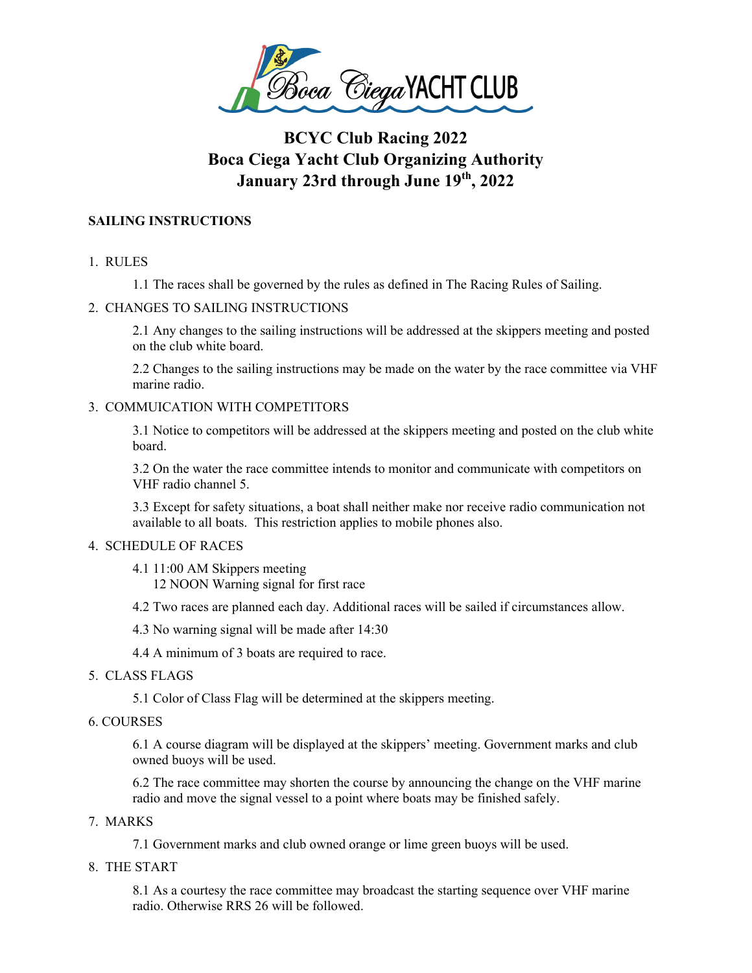

# **BCYC Club Racing 2022 Boca Ciega Yacht Club Organizing Authority January 23rd through June 19th, 2022**

# **SAILING INSTRUCTIONS**

- 1. RULES
	- 1.1 The races shall be governed by the rules as defined in The Racing Rules of Sailing.

# 2. CHANGES TO SAILING INSTRUCTIONS

2.1 Any changes to the sailing instructions will be addressed at the skippers meeting and posted on the club white board.

2.2 Changes to the sailing instructions may be made on the water by the race committee via VHF marine radio.

# 3. COMMUICATION WITH COMPETITORS

3.1 Notice to competitors will be addressed at the skippers meeting and posted on the club white board.

3.2 On the water the race committee intends to monitor and communicate with competitors on VHF radio channel 5.

3.3 Except for safety situations, a boat shall neither make nor receive radio communication not available to all boats. This restriction applies to mobile phones also.

# 4. SCHEDULE OF RACES

4.1 11:00 AM Skippers meeting 12 NOON Warning signal for first race

4.2 Two races are planned each day. Additional races will be sailed if circumstances allow.

4.3 No warning signal will be made after 14:30

4.4 A minimum of 3 boats are required to race.

# 5. CLASS FLAGS

5.1 Color of Class Flag will be determined at the skippers meeting.

# 6. COURSES

6.1 A course diagram will be displayed at the skippers' meeting. Government marks and club owned buoys will be used.

6.2 The race committee may shorten the course by announcing the change on the VHF marine radio and move the signal vessel to a point where boats may be finished safely.

# 7. MARKS

7.1 Government marks and club owned orange or lime green buoys will be used.

8. THE START

8.1 As a courtesy the race committee may broadcast the starting sequence over VHF marine radio. Otherwise RRS 26 will be followed.